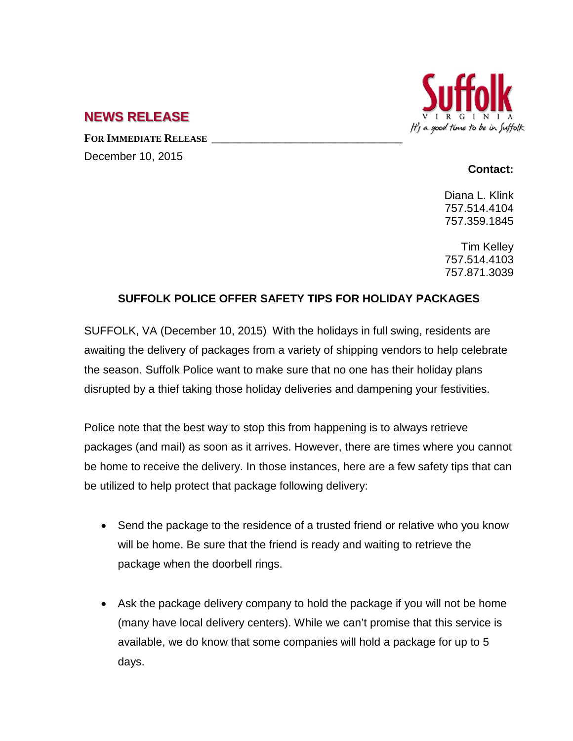

## **NEWS RELEASE**

**FOR IMMEDIATE RELEASE \_\_\_\_\_\_\_\_\_\_\_\_\_\_\_\_\_\_\_\_\_\_\_\_\_\_\_\_\_\_\_\_\_\_** December 10, 2015

## **Contact:**

Diana L. Klink 757.514.4104 757.359.1845

Tim Kelley 757.514.4103 757.871.3039

## **SUFFOLK POLICE OFFER SAFETY TIPS FOR HOLIDAY PACKAGES**

SUFFOLK, VA (December 10, 2015) With the holidays in full swing, residents are awaiting the delivery of packages from a variety of shipping vendors to help celebrate the season. Suffolk Police want to make sure that no one has their holiday plans disrupted by a thief taking those holiday deliveries and dampening your festivities.

Police note that the best way to stop this from happening is to always retrieve packages (and mail) as soon as it arrives. However, there are times where you cannot be home to receive the delivery. In those instances, here are a few safety tips that can be utilized to help protect that package following delivery:

- Send the package to the residence of a trusted friend or relative who you know will be home. Be sure that the friend is ready and waiting to retrieve the package when the doorbell rings.
- Ask the package delivery company to hold the package if you will not be home (many have local delivery centers). While we can't promise that this service is available, we do know that some companies will hold a package for up to 5 days.